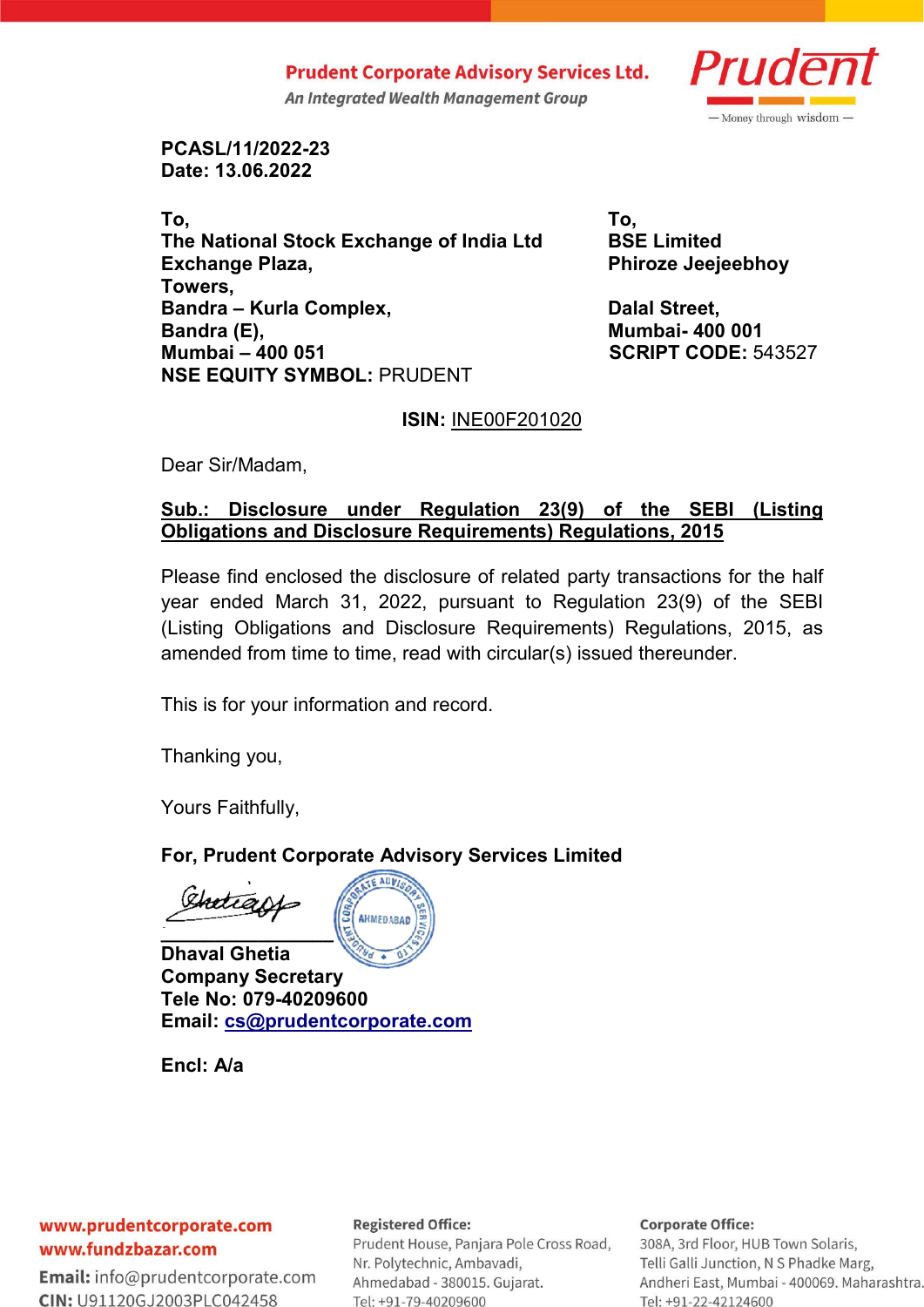**Prudent Corporate Advisory Services Ltd.** 

An Integrated Wealth Management Group



**PCASL/11/2022-23 Date: 13.06.2022**

**To, To, The National Stock Exchange of India Ltd BSE Limited Exchange Plaza,**  Phiroze Jeejeebhoy **Towers, Bandra – Kurla Complex, Strategy and Street, Bandra (E), Mumbai- 400 001 Mumbai – 400 051 SCRIPT CODE:** 543527 **NSE EQUITY SYMBOL:** PRUDENT

## **ISIN:** INE00F201020

Dear Sir/Madam,

# **Sub.: Disclosure under Regulation 23(9) of the SEBI (Listing Obligations and Disclosure Requirements) Regulations, 2015**

Please find enclosed the disclosure of related party transactions for the half year ended March 31, 2022, pursuant to Regulation 23(9) of the SEBI (Listing Obligations and Disclosure Requirements) Regulations, 2015, as amended from time to time, read with circular(s) issued thereunder.

This is for your information and record.

Thanking you,

Yours Faithfully,

# **For, Prudent Corporate Advisory Services Limited**

**\_\_\_\_\_\_\_\_\_\_\_\_\_\_\_\_**



**Dhaval Ghetia Company Secretary Tele No: 079-40209600 Email: cs@prudentcorporate.com**

**Encl: A/a**

### www.prudentcorporate.com www.fundzbazar.com

**Email:** info@prudentcorporate.com CIN: U91120GJ2003PLC042458

### **Registered Office:**

Prudent House, Panjara Pole Cross Road, Nr. Polytechnic, Ambavadi, Ahmedabad - 380015. Gujarat. Tel: +91-79-40209600

### **Corporate Office:**

308A, 3rd Floor, HUB Town Solaris, Telli Galli Junction, N S Phadke Marg, Andheri East, Mumbai - 400069. Maharashtra. Tel: +91-22-42124600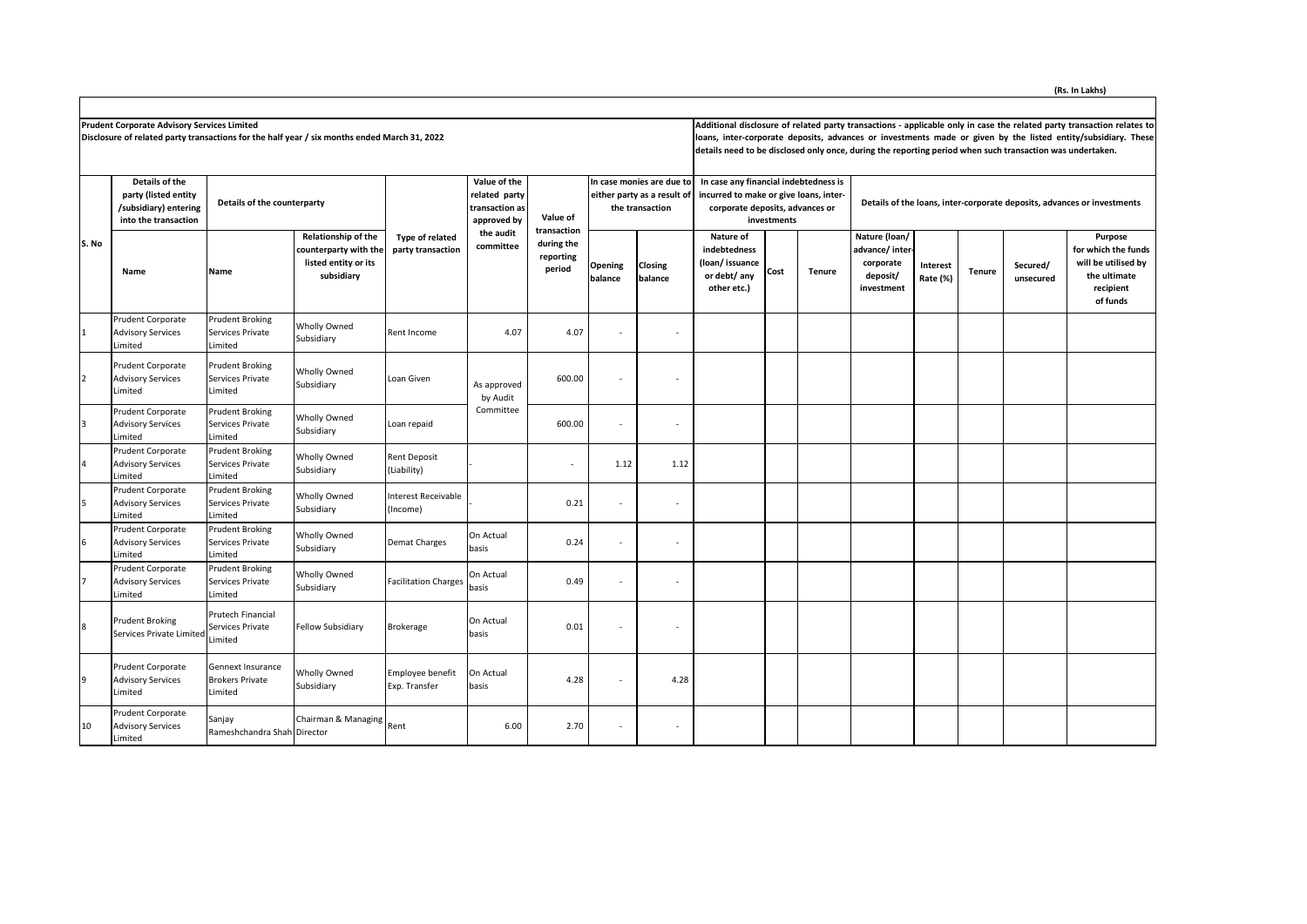**Prudent Corporate Advisory Services Limited** 

**Disclosure of related party transactions for the half year / six months ended March 31, 2022**

Additional disclosure of related party transactions - applicable only in case the related party transaction relates to **loans, inter-corporate deposits, advances or investments made or given by the listed entity/subsidiary. These details need to be disclosed only once, during the reporting period when such transaction was undertaken.**

|                | Details of the<br>party (listed entity<br>/subsidiary) entering<br>into the transaction | Details of the counterparty                            |                                                                                    |                                      | Value of the<br>related party<br>transaction as<br>approved by | Value of<br>transaction           | In case monies are due to<br>either party as a result of<br>the transaction |                          | In case any financial indebtedness is<br>incurred to make or give loans, inter-<br>corporate deposits, advances or<br>investments |      |               | Details of the loans, inter-corporate deposits, advances or investments |                      |               |                       |                                                                                                |  |
|----------------|-----------------------------------------------------------------------------------------|--------------------------------------------------------|------------------------------------------------------------------------------------|--------------------------------------|----------------------------------------------------------------|-----------------------------------|-----------------------------------------------------------------------------|--------------------------|-----------------------------------------------------------------------------------------------------------------------------------|------|---------------|-------------------------------------------------------------------------|----------------------|---------------|-----------------------|------------------------------------------------------------------------------------------------|--|
| S. No          | Name                                                                                    | Name                                                   | Relationship of the<br>counterparty with the<br>listed entity or its<br>subsidiary | Type of related<br>party transaction | the audit<br>committee                                         | during the<br>reporting<br>period | Opening<br>balance                                                          | Closing<br>balance       | Nature of<br>indebtedness<br>(loan/issuance<br>or debt/ any<br>other etc.)                                                        | Cost | <b>Tenure</b> | Nature (loan/<br>advance/ inter-<br>corporate<br>deposit/<br>investment | Interest<br>Rate (%) | <b>Tenure</b> | Secured/<br>unsecured | Purpose<br>for which the funds<br>will be utilised by<br>the ultimate<br>recipient<br>of funds |  |
|                | Prudent Corporate<br><b>Advisory Services</b><br>Limited                                | <b>Prudent Broking</b><br>Services Private<br>Limited  | <b>Wholly Owned</b><br>Subsidiary                                                  | Rent Income                          | 4.07                                                           | 4.07                              | $\sim$                                                                      | $\sim$                   |                                                                                                                                   |      |               |                                                                         |                      |               |                       |                                                                                                |  |
| 2              | Prudent Corporate<br><b>Advisory Services</b><br>.imited                                | <b>Prudent Broking</b><br>Services Private<br>Limited  | Wholly Owned<br>Subsidiary                                                         | Loan Given                           | As approved<br>by Audit                                        | 600.00                            | $\sim$                                                                      | $\overline{\phantom{a}}$ |                                                                                                                                   |      |               |                                                                         |                      |               |                       |                                                                                                |  |
| 3              | Prudent Corporate<br><b>Advisory Services</b><br>.imited                                | <b>Prudent Broking</b><br>Services Private<br>Limited  | Wholly Owned<br>Subsidiary                                                         | Loan repaid                          | Committee                                                      | 600.00                            | $\sim$                                                                      | $\overline{\phantom{a}}$ |                                                                                                                                   |      |               |                                                                         |                      |               |                       |                                                                                                |  |
| $\overline{4}$ | Prudent Corporate<br><b>Advisory Services</b><br>Limited                                | <b>Prudent Broking</b><br>Services Private<br>Limited  | <b>Wholly Owned</b><br>Subsidiary                                                  | <b>Rent Deposit</b><br>(Liability)   |                                                                | ٠                                 | 1.12                                                                        | 1.12                     |                                                                                                                                   |      |               |                                                                         |                      |               |                       |                                                                                                |  |
| 5              | Prudent Corporate<br><b>Advisory Services</b><br>.imited                                | <b>Prudent Broking</b><br>Services Private<br>Limited  | <b>Wholly Owned</b><br>Subsidiary                                                  | nterest Receivable<br>Income)        |                                                                | 0.21                              |                                                                             | ٠                        |                                                                                                                                   |      |               |                                                                         |                      |               |                       |                                                                                                |  |
| 6              | Prudent Corporate<br><b>Advisory Services</b><br><i>imited</i>                          | <b>Prudent Broking</b><br>Services Private<br>Limited  | Wholly Owned<br>Subsidiary                                                         | Demat Charges                        | On Actual<br>basis                                             | 0.24                              | $\overline{\phantom{a}}$                                                    | $\overline{\phantom{a}}$ |                                                                                                                                   |      |               |                                                                         |                      |               |                       |                                                                                                |  |
|                | Prudent Corporate<br><b>Advisory Services</b><br><i>imited</i>                          | <b>Prudent Broking</b><br>Services Private<br>Limited  | Wholly Owned<br>Subsidiary                                                         | Facilitation Charges                 | On Actual<br>basis                                             | 0.49                              | $\overline{\phantom{a}}$                                                    | $\overline{\phantom{a}}$ |                                                                                                                                   |      |               |                                                                         |                      |               |                       |                                                                                                |  |
| 8              | Prudent Broking<br>Services Private Limited                                             | Prutech Financial<br>Services Private<br>Limited       | <b>Fellow Subsidiary</b>                                                           | Brokerage                            | On Actual<br>basis                                             | 0.01                              | $\overline{\phantom{a}}$                                                    | $\overline{\phantom{a}}$ |                                                                                                                                   |      |               |                                                                         |                      |               |                       |                                                                                                |  |
| 9              | Prudent Corporate<br><b>Advisory Services</b><br>Limited                                | Gennext Insurance<br><b>Brokers Private</b><br>Limited | <b>Wholly Owned</b><br>Subsidiary                                                  | Employee benefit<br>Exp. Transfer    | On Actual<br>basis                                             | 4.28                              |                                                                             | 4.28                     |                                                                                                                                   |      |               |                                                                         |                      |               |                       |                                                                                                |  |
| 10             | Prudent Corporate<br><b>Advisory Services</b><br>Limited                                | Sanjay<br>Rameshchandra Shah Director                  | Chairman & Managing                                                                | Rent                                 | 6.00                                                           | 2.70                              | $\sim$                                                                      | $\overline{\phantom{a}}$ |                                                                                                                                   |      |               |                                                                         |                      |               |                       |                                                                                                |  |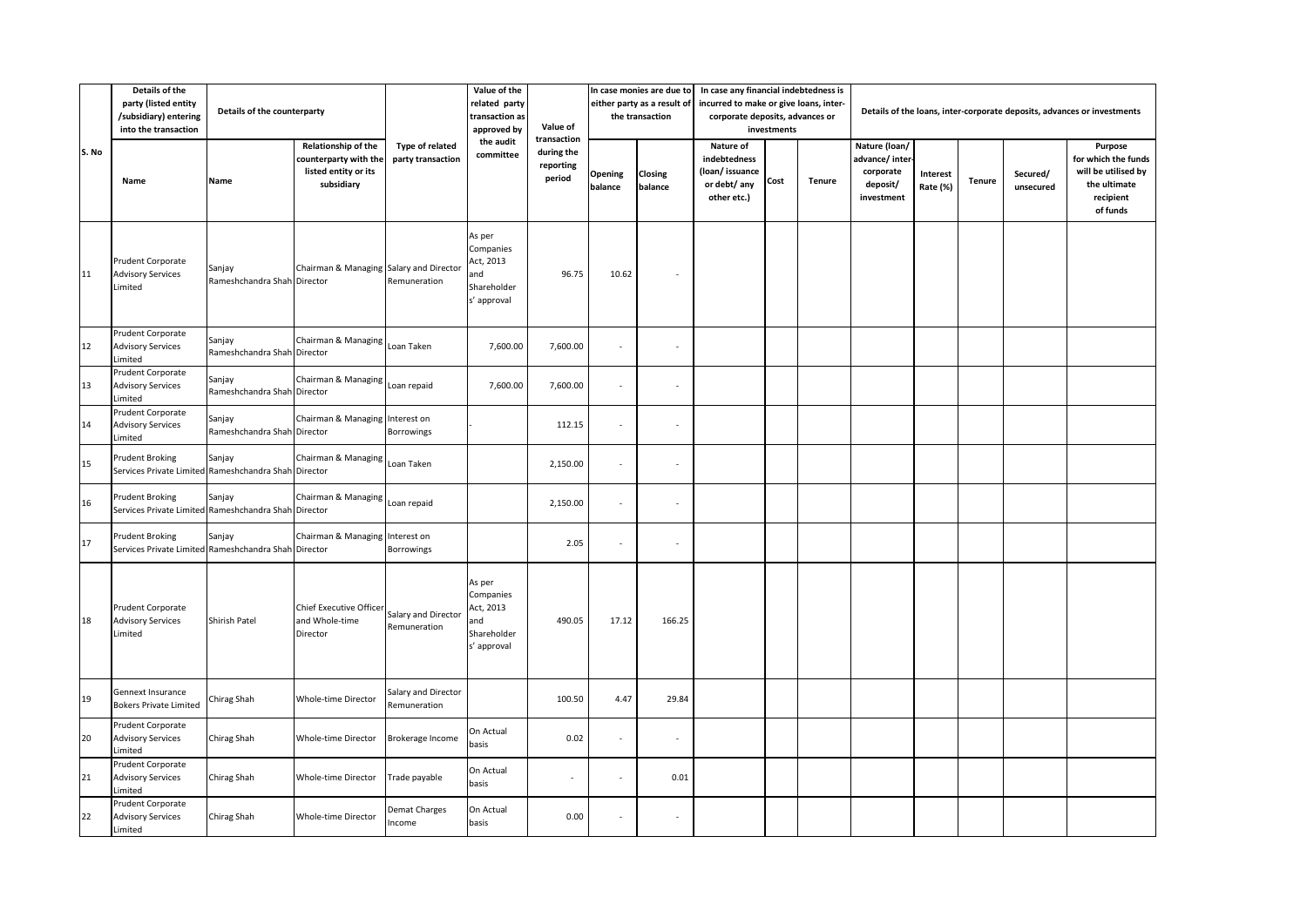|       | Details of the<br>party (listed entity<br>/subsidiary) entering<br>into the transaction | Details of the counterparty           |                                                                                    |                                      | Value of the<br>related party<br>transaction as<br>approved by        | Value of<br>transaction           | In case monies are due to<br>either party as a result of<br>the transaction |                    | In case any financial indebtedness is<br>incurred to make or give loans, inter-<br>corporate deposits, advances or<br>investments |      |               | Details of the loans, inter-corporate deposits, advances or investments |                      |        |                       |                                                                                                |  |
|-------|-----------------------------------------------------------------------------------------|---------------------------------------|------------------------------------------------------------------------------------|--------------------------------------|-----------------------------------------------------------------------|-----------------------------------|-----------------------------------------------------------------------------|--------------------|-----------------------------------------------------------------------------------------------------------------------------------|------|---------------|-------------------------------------------------------------------------|----------------------|--------|-----------------------|------------------------------------------------------------------------------------------------|--|
| S. No | Name                                                                                    | Name                                  | Relationship of the<br>counterparty with the<br>listed entity or its<br>subsidiary | Type of related<br>party transaction | the audit<br>committee                                                | during the<br>reporting<br>period | Opening<br>balance                                                          | Closing<br>balance | Nature of<br>indebtedness<br>(loan/issuance<br>or debt/ any<br>other etc.)                                                        | Cost | <b>Tenure</b> | Nature (loan/<br>advance/inter<br>corporate<br>deposit/<br>investment   | Interest<br>Rate (%) | Tenure | Secured/<br>unsecured | Purpose<br>for which the funds<br>will be utilised by<br>the ultimate<br>recipient<br>of funds |  |
| 11    | Prudent Corporate<br><b>Advisory Services</b><br>Limited                                | Sanjay<br>Rameshchandra Shah Director | Chairman & Managing Salary and Director                                            | Remuneration                         | As per<br>Companies<br>Act, 2013<br>and<br>Shareholder<br>s' approval | 96.75                             | 10.62                                                                       |                    |                                                                                                                                   |      |               |                                                                         |                      |        |                       |                                                                                                |  |
| 12    | Prudent Corporate<br><b>Advisory Services</b><br>Limited                                | Sanjay<br>Rameshchandra Shah Director | Chairman & Managing                                                                | Loan Taken                           | 7,600.00                                                              | 7,600.00                          | $\sim$                                                                      | $\sim$             |                                                                                                                                   |      |               |                                                                         |                      |        |                       |                                                                                                |  |
| 13    | Prudent Corporate<br><b>Advisory Services</b><br>Limited                                | Sanjay<br>Rameshchandra Shah Director | Chairman & Managing                                                                | Loan repaid                          | 7,600.00                                                              | 7,600.00                          | $\sim$                                                                      |                    |                                                                                                                                   |      |               |                                                                         |                      |        |                       |                                                                                                |  |
| 14    | Prudent Corporate<br><b>Advisory Services</b><br>Limited                                | Sanjay<br>Rameshchandra Shah Director | Chairman & Managing                                                                | Interest on<br>Borrowings            |                                                                       | 112.15                            |                                                                             |                    |                                                                                                                                   |      |               |                                                                         |                      |        |                       |                                                                                                |  |
| 15    | <b>Prudent Broking</b><br>Services Private Limited Rameshchandra Shah Director          | Sanjay                                | Chairman & Managing                                                                | Loan Taken                           |                                                                       | 2,150.00                          | $\sim$                                                                      | ٠                  |                                                                                                                                   |      |               |                                                                         |                      |        |                       |                                                                                                |  |
| 16    | Prudent Broking<br>Services Private Limited Rameshchandra Shah Director                 | Sanjay                                | Chairman & Managing                                                                | Loan repaid                          |                                                                       | 2,150.00                          | $\sim$                                                                      | Î,                 |                                                                                                                                   |      |               |                                                                         |                      |        |                       |                                                                                                |  |
| 17    | Prudent Broking<br>Services Private Limited Rameshchandra Shah                          | Sanjay                                | Chairman & Managing<br>Director                                                    | Interest on<br>Borrowings            |                                                                       | 2.05                              | $\sim$                                                                      | ×,                 |                                                                                                                                   |      |               |                                                                         |                      |        |                       |                                                                                                |  |
| 18    | Prudent Corporate<br><b>Advisory Services</b><br>Limited                                | Shirish Patel                         | Chief Executive Officer<br>and Whole-time<br>Director                              | Salary and Director<br>Remuneration  | As per<br>Companies<br>Act, 2013<br>and<br>Shareholder<br>s' approval | 490.05                            | 17.12                                                                       | 166.25             |                                                                                                                                   |      |               |                                                                         |                      |        |                       |                                                                                                |  |
| 19    | Gennext Insurance<br><b>Bokers Private Limited</b>                                      | Chirag Shah                           | <b>Whole-time Director</b>                                                         | Salary and Director<br>Remuneration  |                                                                       | 100.50                            | 4.47                                                                        | 29.84              |                                                                                                                                   |      |               |                                                                         |                      |        |                       |                                                                                                |  |
| 20    | Prudent Corporate<br><b>Advisory Services</b><br>Limited                                | Chirag Shah                           | Whole-time Director                                                                | Brokerage Income                     | On Actual<br>basis                                                    | 0.02                              |                                                                             | ×,                 |                                                                                                                                   |      |               |                                                                         |                      |        |                       |                                                                                                |  |
| 21    | Prudent Corporate<br><b>Advisory Services</b><br>Limited                                | Chirag Shah                           | Whole-time Director                                                                | Trade payable                        | On Actual<br>basis                                                    | $\sim$                            | $\sim$                                                                      | 0.01               |                                                                                                                                   |      |               |                                                                         |                      |        |                       |                                                                                                |  |
| 22    | Prudent Corporate<br><b>Advisory Services</b><br>Limited                                | Chirag Shah                           | <b>Whole-time Director</b>                                                         | Demat Charges<br>Income              | On Actual<br>basis                                                    | 0.00                              |                                                                             | ä,                 |                                                                                                                                   |      |               |                                                                         |                      |        |                       |                                                                                                |  |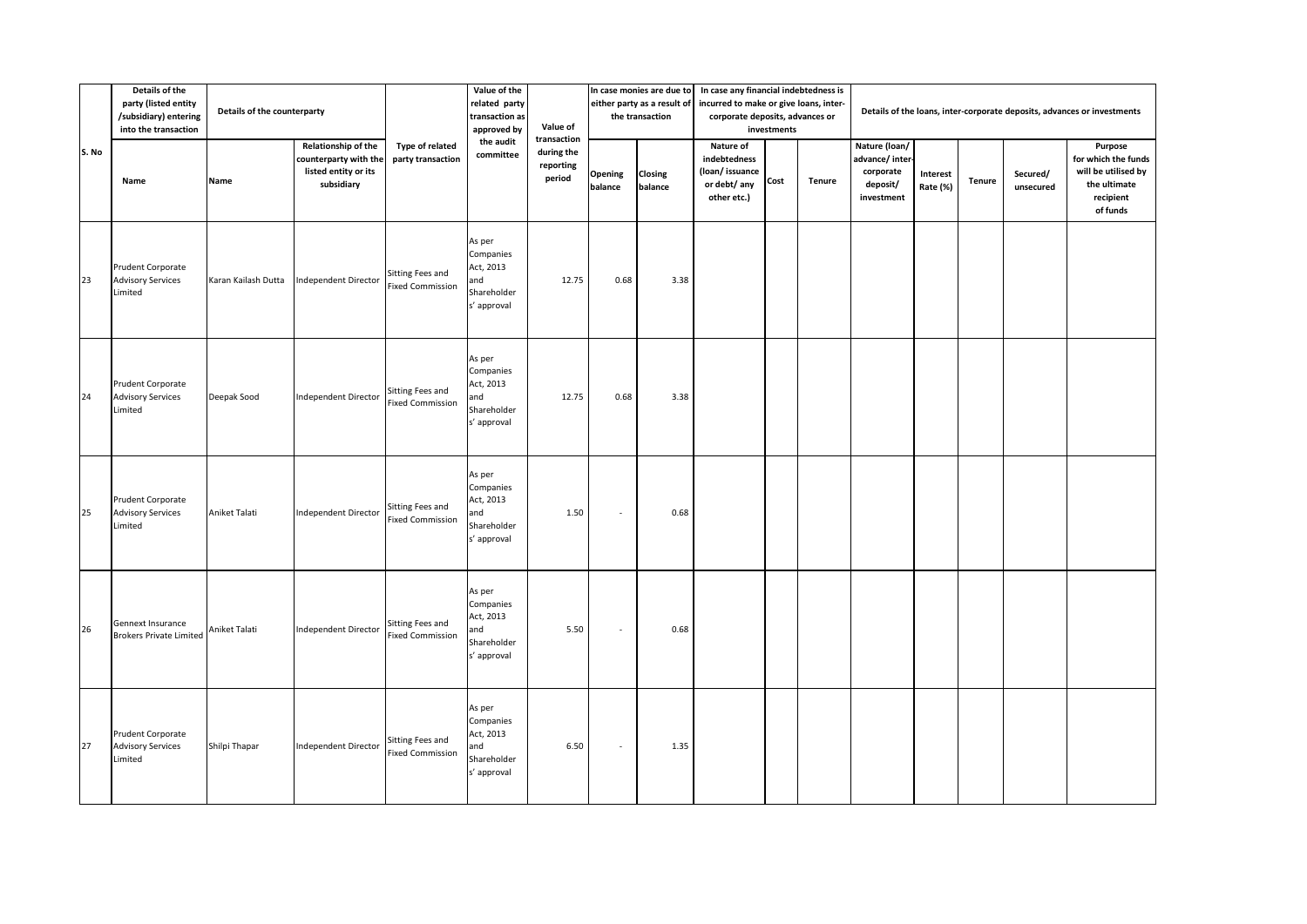|       | Details of the<br>party (listed entity<br>Details of the counterparty<br>/subsidiary) entering<br>into the transaction |                     |                                                                                    |                                             | Value of the<br>related party<br>transaction as<br>approved by        | Value of                                         | In case monies are due to<br>either party as a result of<br>the transaction |                    | In case any financial indebtedness is<br>incurred to make or give loans, inter-<br>corporate deposits, advances or<br>investments |      |               | Details of the loans, inter-corporate deposits, advances or investments |                             |               |                       |                                                                                                |  |  |
|-------|------------------------------------------------------------------------------------------------------------------------|---------------------|------------------------------------------------------------------------------------|---------------------------------------------|-----------------------------------------------------------------------|--------------------------------------------------|-----------------------------------------------------------------------------|--------------------|-----------------------------------------------------------------------------------------------------------------------------------|------|---------------|-------------------------------------------------------------------------|-----------------------------|---------------|-----------------------|------------------------------------------------------------------------------------------------|--|--|
| S. No | Name                                                                                                                   | Name                | Relationship of the<br>counterparty with the<br>listed entity or its<br>subsidiary | Type of related<br>party transaction        | the audit<br>committee                                                | transaction<br>during the<br>reporting<br>period | Opening<br>balance                                                          | Closing<br>balance | Nature of<br>indebtedness<br>(loan/issuance<br>or debt/ any<br>other etc.)                                                        | Cost | <b>Tenure</b> | Nature (loan/<br>advance/ inter-<br>corporate<br>deposit/<br>investment | <b>Interest</b><br>Rate (%) | <b>Tenure</b> | Secured/<br>unsecured | Purpose<br>for which the funds<br>will be utilised by<br>the ultimate<br>recipient<br>of funds |  |  |
| 23    | Prudent Corporate<br><b>Advisory Services</b><br>Limited                                                               | Karan Kailash Dutta | Independent Director                                                               | Sitting Fees and<br><b>Fixed Commission</b> | As per<br>Companies<br>Act, 2013<br>and<br>Shareholder<br>s' approval | 12.75                                            | 0.68                                                                        | 3.38               |                                                                                                                                   |      |               |                                                                         |                             |               |                       |                                                                                                |  |  |
| 24    | Prudent Corporate<br><b>Advisory Services</b><br>Limited                                                               | Deepak Sood         | <b>Independent Director</b>                                                        | Sitting Fees and<br><b>Fixed Commission</b> | As per<br>Companies<br>Act, 2013<br>and<br>Shareholder<br>s' approval | 12.75                                            | 0.68                                                                        | 3.38               |                                                                                                                                   |      |               |                                                                         |                             |               |                       |                                                                                                |  |  |
| 25    | Prudent Corporate<br><b>Advisory Services</b><br>Limited                                                               | Aniket Talati       | Independent Director                                                               | Sitting Fees and<br>Fixed Commission        | As per<br>Companies<br>Act, 2013<br>and<br>Shareholder<br>s' approval | 1.50                                             | $\sim$                                                                      | 0.68               |                                                                                                                                   |      |               |                                                                         |                             |               |                       |                                                                                                |  |  |
| 26    | Gennext Insurance<br><b>Brokers Private Limited</b>                                                                    | Aniket Talati       | <b>Independent Director</b>                                                        | Sitting Fees and<br><b>Fixed Commission</b> | As per<br>Companies<br>Act, 2013<br>and<br>Shareholder<br>s' approval | 5.50                                             | $\overline{\phantom{a}}$                                                    | 0.68               |                                                                                                                                   |      |               |                                                                         |                             |               |                       |                                                                                                |  |  |
| 27    | Prudent Corporate<br><b>Advisory Services</b><br>Limited                                                               | Shilpi Thapar       | Independent Director                                                               | Sitting Fees and<br><b>Fixed Commission</b> | As per<br>Companies<br>Act, 2013<br>and<br>Shareholder<br>s' approval | 6.50                                             | $\sim$                                                                      | 1.35               |                                                                                                                                   |      |               |                                                                         |                             |               |                       |                                                                                                |  |  |